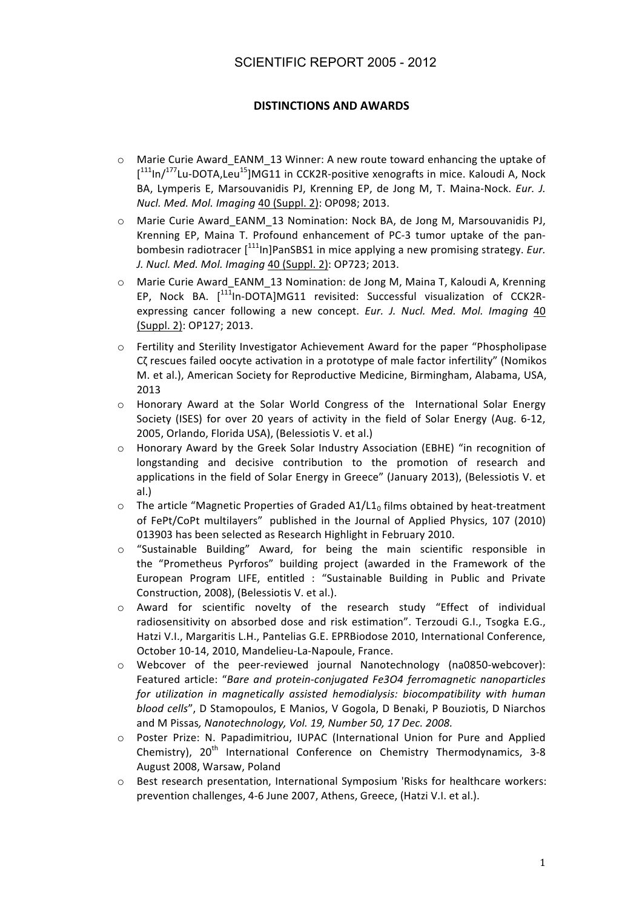## SCIENTIFIC REPORT 2005 - 2012

## **DISTINCTIONS AND AWARDS**

- o Marie Curie Award\_EANM\_13 Winner: A new route toward enhancing the uptake of  $[$ <sup>111</sup>ln/<sup>177</sup>Lu-DOTA, Leu<sup>15</sup>]MG11 in CCK2R-positive xenografts in mice. Kaloudi A, Nock BA, Lymperis E, Marsouvanidis PJ, Krenning EP, de Jong M, T. Maina-Nock. Eur. J. Nucl. Med. Mol. Imaging 40 (Suppl. 2): OP098; 2013.
- Marie Curie Award EANM 13 Nomination: Nock BA, de Jong M, Marsouvanidis PJ.  $\circ$ Krenning EP, Maina T. Profound enhancement of PC-3 tumor uptake of the panbombesin radiotracer [<sup>111</sup>ln]PanSBS1 in mice applying a new promising strategy. Eur. J. Nucl. Med. Mol. Imaging 40 (Suppl. 2): OP723; 2013.
- Marie Curie Award EANM 13 Nomination: de Jong M, Maina T, Kaloudi A, Krenning  $\circ$ EP, Nock BA. [<sup>111</sup>In-DOTA]MG11 revisited: Successful visualization of CCK2Rexpressing cancer following a new concept. Eur. J. Nucl. Med. Mol. Imaging 40 (Suppl. 2): OP127; 2013.
- o Fertility and Sterility Investigator Achievement Award for the paper "Phospholipase Cζ rescues failed oocyte activation in a prototype of male factor infertility" (Nomikos M. et al.). American Society for Reproductive Medicine. Birmingham. Alabama. USA. 2013
- Honorary Award at the Solar World Congress of the International Solar Energy  $\circ$ Society (ISES) for over 20 years of activity in the field of Solar Energy (Aug. 6-12, 2005, Orlando, Florida USA), (Belessiotis V. et al.)
- Honorary Award by the Greek Solar Industry Association (EBHE) "in recognition of  $\circ$ longstanding and decisive contribution to the promotion of research and applications in the field of Solar Energy in Greece" (January 2013), (Belessiotis V. et  $al.)$
- The article "Magnetic Properties of Graded  $A1/L_0$  films obtained by heat-treatment  $\circ$ of FePt/CoPt multilayers" published in the Journal of Applied Physics, 107 (2010) 013903 has been selected as Research Highlight in February 2010.
- "Sustainable Building" Award, for being the main scientific responsible in  $\circ$ the "Prometheus Pyrforos" building project (awarded in the Framework of the European Program LIFE, entitled : "Sustainable Building in Public and Private Construction, 2008), (Belessiotis V. et al.).
- Award for scientific novelty of the research study "Effect of individual  $\circ$ radiosensitivity on absorbed dose and risk estimation". Terzoudi G.I., Tsogka E.G., Hatzi V.I., Margaritis L.H., Pantelias G.E. EPRBiodose 2010, International Conference, October 10-14, 2010, Mandelieu-La-Napoule, France.
- Webcover of the peer-reviewed journal Nanotechnology (na0850-webcover):  $\circ$ Featured article: "Bare and protein-conjugated Fe3O4 ferromagnetic nanoparticles for utilization in magnetically assisted hemodialysis: biocompatibility with human blood cells", D Stamopoulos, E Manios, V Gogola, D Benaki, P Bouziotis, D Niarchos and M Pissas, Nanotechnology, Vol. 19, Number 50, 17 Dec. 2008.
- Poster Prize: N. Papadimitriou, IUPAC (International Union for Pure and Applied  $\circ$ Chemistry), 20<sup>th</sup> International Conference on Chemistry Thermodynamics, 3-8 August 2008, Warsaw, Poland
- Best research presentation, International Symposium 'Risks for healthcare workers:  $\cap$ prevention challenges, 4-6 June 2007, Athens, Greece, (Hatzi V.I. et al.).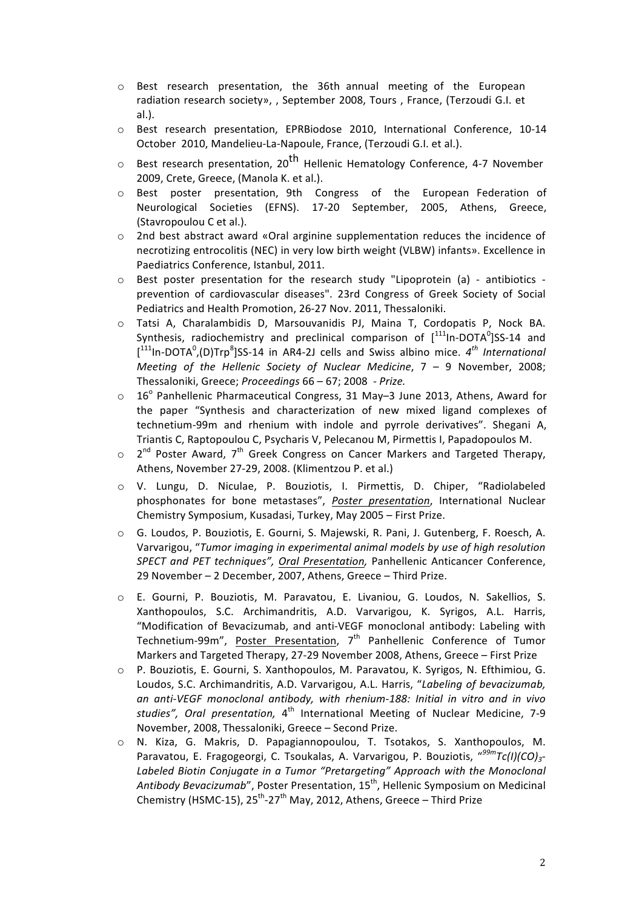- $\circ$  Best research presentation, the 36th annual meeting of the European radiation research society», , September 2008, Tours , France, (Terzoudi G.I. et al.).
- $\circ$  Best research presentation, EPRBiodose 2010, International Conference, 10-14 October 2010, Mandelieu-La-Napoule, France, (Terzoudi G.I. et al.).
- $\circ$  Best research presentation, 20<sup>th</sup> Hellenic Hematology Conference, 4-7 November 2009, Crete, Greece, (Manola K. et al.).
- $\circ$  Best poster presentation, 9th Congress of the European Federation of Neurological Societies (EFNS). 17-20 September, 2005, Athens, Greece, (Stavropoulou C et al.).
- o 2nd best abstract award «Oral arginine supplementation reduces the incidence of necrotizing entrocolitis (NEC) in very low birth weight (VLBW) infants». Excellence in Paediatrics Conference, Istanbul, 2011.
- $\circ$  Best poster presentation for the research study "Lipoprotein (a) antibiotics prevention of cardiovascular diseases". 23rd Congress of Greek Society of Social Pediatrics and Health Promotion, 26-27 Nov. 2011, Thessaloniki.
- $\circ$  Tatsi A, Charalambidis D, Marsouvanidis PJ, Maina T, Cordopatis P, Nock BA. Synthesis, radiochemistry and preclinical comparison of  $[1^{111}$ In-DOTA $^0$ JSS-14 and [<sup>111</sup>In-DOTA<sup>0</sup>,(D)Trp<sup>8</sup>]SS-14 in AR4-2J cells and Swiss albino mice. 4<sup>th</sup> International *Meeting of the Hellenic Society of Nuclear Medicine*,  $7 - 9$  November, 2008; Thessaloniki, Greece; *Proceedings* 66 – 67; 2008 - Prize.
- $\circ$  16° Panhellenic Pharmaceutical Congress, 31 May–3 June 2013, Athens, Award for the paper "Synthesis and characterization of new mixed ligand complexes of technetium-99m and rhenium with indole and pyrrole derivatives". Shegani A, Triantis C, Raptopoulou C, Psycharis V, Pelecanou M, Pirmettis I, Papadopoulos M.
- $\circ$  2<sup>nd</sup> Poster Award, 7<sup>th</sup> Greek Congress on Cancer Markers and Targeted Therapy, Athens, November 27-29, 2008. (Klimentzou P. et al.)
- o V.! Lungu,! D.! Niculae,! P.! Bouziotis,! I.! Pirmettis,! D.! Chiper,! "Radiolabeled! phosphonates for bone metastases", *Poster presentation*, International Nuclear Chemistry Symposium, Kusadasi, Turkey, May 2005 - First Prize.
- $\circ$  G. Loudos, P. Bouziotis, E. Gourni, S. Majewski, R. Pani, J. Gutenberg, F. Roesch, A. Varvarigou, "Tumor imaging in experimental animal models by use of high resolution *SPECT and PET techniques", Oral Presentation, Panhellenic Anticancer Conference,* 29 November – 2 December, 2007, Athens, Greece – Third Prize.
- $\circ$  E. Gourni, P. Bouziotis, M. Paravatou, E. Livaniou, G. Loudos, N. Sakellios, S. Xanthopoulos, S.C. Archimandritis, A.D. Varvarigou, K. Syrigos, A.L. Harris, "Modification of Bevacizumab, and anti-VEGF monoclonal antibody: Labeling with Technetium-99m", Poster Presentation,  $7<sup>th</sup>$  Panhellenic Conference of Tumor Markers and Targeted Therapy, 27-29 November 2008, Athens, Greece – First Prize
- o P. Bouziotis, E. Gourni, S. Xanthopoulos, M. Paravatou, K. Syrigos, N. Efthimiou, G. Loudos, S.C. Archimandritis, A.D. Varvarigou, A.L. Harris, "Labeling of bevacizumab, an anti-VEGF monoclonal antibody, with rhenium-188: Initial in vitro and in vivo studies", Oral presentation, 4<sup>th</sup> International Meeting of Nuclear Medicine, 7-9 November, 2008, Thessaloniki, Greece - Second Prize.
- $\circ$  N. Kiza, G. Makris, D. Papagiannopoulou, T. Tsotakos, S. Xanthopoulos, M. Paravatou, E. Fragogeorgi, C. Tsoukalas, A. Varvarigou, P. Bouziotis, "<sup>99m</sup>Tc(I)(CO)<sub>3</sub>-Labeled Biotin Conjugate in a Tumor "Pretargeting" Approach with the Monoclonal Antibody Bevacizumab", Poster Presentation, 15<sup>th</sup>, Hellenic Symposium on Medicinal Chemistry (HSMC-15),  $25^{\text{th}}$ -27<sup>th</sup> May, 2012, Athens, Greece – Third Prize